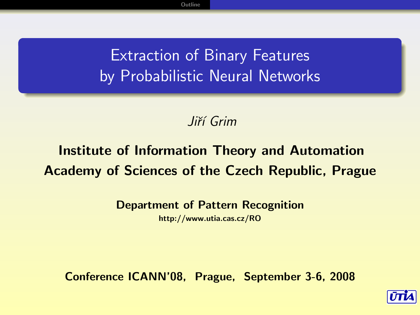### Extraction of Binary Features by Probabilistic Neural Networks

### Jiří Grim

### Institute of Information Theory and Automation Academy of Sciences of the Czech Republic, Prague

Department of Pattern Recognition

http://www.utia.cas.cz/RO

Conference ICANN'08, Prague, September 3-6, 2008

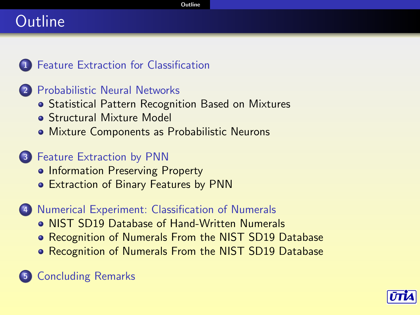#### **[Outline](#page-1-0)**

# Outline



### <sup>2</sup> [Probabilistic Neural Networks](#page-3-0)

- **[Statistical Pattern Recognition Based on Mixtures](#page-3-0)**
- **[Structural Mixture Model](#page-4-0)**
- [Mixture Components as Probabilistic Neurons](#page-5-0)

### <sup>3</sup> [Feature Extraction by PNN](#page-6-0)

- [Information Preserving Property](#page-6-0)
- [Extraction of Binary Features by PNN](#page-7-0)

#### <sup>4</sup> [Numerical Experiment: Classification of Numerals](#page-8-0)

- [NIST SD19 Database of Hand-Written Numerals](#page-8-0)
- [Recognition of Numerals From the NIST SD19 Database](#page-9-0)
- [Recognition of Numerals From the NIST SD19 Database](#page-10-0)

<span id="page-1-0"></span>

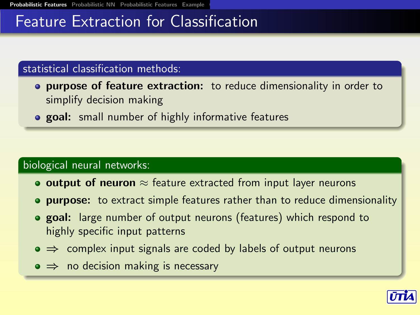### Feature Extraction for Classification

#### statistical classification methods:

- **purpose of feature extraction:** to reduce dimensionality in order to simplify decision making
- **o goal:** small number of highly informative features

#### biological neural networks:

- output of neuron  $\approx$  feature extracted from input layer neurons
- **purpose:** to extract simple features rather than to reduce dimensionality
- **o** goal: large number of output neurons (features) which respond to highly specific input patterns
- $\bullet \Rightarrow$  complex input signals are coded by labels of output neurons
- <span id="page-2-0"></span> $\bullet \Rightarrow$  no decision making is necessary

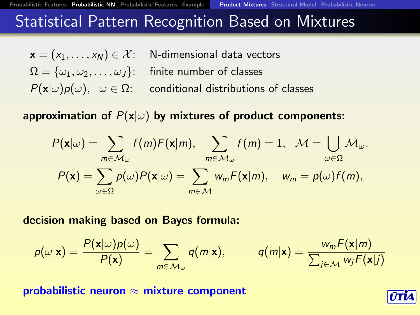# **Statistical Pattern Recognition Based on Mixtures**

$$
\mathbf{x} = (x_1, \dots, x_N) \in \mathcal{X}: \quad \text{N-dimensional data vectors}
$$
\n
$$
\Omega = \{\omega_1, \omega_2, \dots, \omega_J\}: \quad \text{finite number of classes}
$$
\n
$$
P(\mathbf{x}|\omega)p(\omega), \quad \omega \in \Omega: \quad \text{conditional distributions of classes}
$$

approximation of  $P(x|\omega)$  by mixtures of product components:

$$
P(\mathbf{x}|\omega) = \sum_{m \in \mathcal{M}_{\omega}} f(m)F(\mathbf{x}|m), \sum_{m \in \mathcal{M}_{\omega}} f(m) = 1, \quad \mathcal{M} = \bigcup_{\omega \in \Omega} \mathcal{M}_{\omega}.
$$

$$
P(\mathbf{x}) = \sum_{\omega \in \Omega} p(\omega)P(\mathbf{x}|\omega) = \sum_{m \in \mathcal{M}} w_m F(\mathbf{x}|m), \quad w_m = p(\omega)f(m),
$$

decision making based on Bayes formula:

$$
p(\omega|\mathbf{x}) = \frac{P(\mathbf{x}|\omega)p(\omega)}{P(\mathbf{x})} = \sum_{m \in \mathcal{M}_{\omega}} q(m|\mathbf{x}), \qquad q(m|\mathbf{x}) = \frac{w_m F(\mathbf{x}|m)}{\sum_{j \in \mathcal{M}} w_j F(\mathbf{x}|j)}
$$

<span id="page-3-0"></span>probabilistic neuron  $\approx$  mixture component

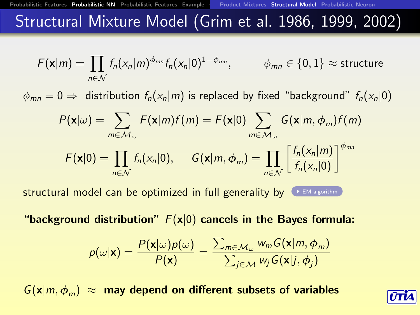### Structural Mixture Model (Grim et al. 1986, 1999, 2002)

<span id="page-4-1"></span>
$$
F(\mathbf{x}|m) = \prod_{n \in \mathcal{N}} f_n(x_n|m)^{\phi_{mn}} f_n(x_n|0)^{1-\phi_{mn}}, \qquad \phi_{mn} \in \{0,1\} \approx \text{structure}
$$

 $\phi_{mn} = 0 \Rightarrow$  distribution  $f_n(x_n|m)$  is replaced by fixed "background"  $f_n(x_n|0)$ 

$$
P(\mathbf{x}|\omega) = \sum_{m \in \mathcal{M}_{\omega}} F(\mathbf{x}|m) f(m) = F(\mathbf{x}|0) \sum_{m \in \mathcal{M}_{\omega}} G(\mathbf{x}|m, \phi_m) f(m)
$$

$$
F(\mathbf{x}|0) = \prod_{n \in \mathcal{N}} f_n(x_n|0), \quad G(\mathbf{x}|m, \phi_m) = \prod_{n \in \mathcal{N}} \left[ \frac{f_n(x_n|m)}{f_n(x_n|0)} \right]^{\phi_{mn}}
$$

structural model can be optimized in full generality by  $\left( \cdot \right)$  [EM algorithm](#page-12-0)

"background distribution"  $F(x|0)$  cancels in the Bayes formula:

$$
p(\omega|\mathbf{x}) = \frac{P(\mathbf{x}|\omega)p(\omega)}{P(\mathbf{x})} = \frac{\sum_{m \in \mathcal{M}_{\omega}} w_m G(\mathbf{x}|m, \phi_m)}{\sum_{j \in \mathcal{M}} w_j G(\mathbf{x}|j, \phi_j)}
$$

<span id="page-4-0"></span> $G(x|m, \phi_m) \approx$  may depend on different subsets of variables

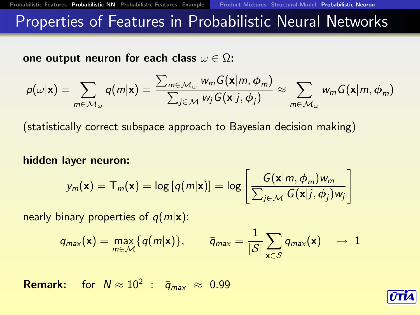### Properties of Features in Probabilistic Neural Networks

one output neuron for each class  $\omega \in \Omega$ :

$$
p(\omega|\mathbf{x}) = \sum_{m \in \mathcal{M}_{\omega}} q(m|\mathbf{x}) = \frac{\sum_{m \in \mathcal{M}_{\omega}} w_m G(\mathbf{x}|m, \phi_m)}{\sum_{j \in \mathcal{M}} w_j G(\mathbf{x}|j, \phi_j)} \approx \sum_{m \in \mathcal{M}_{\omega}} w_m G(\mathbf{x}|m, \phi_m)
$$

(statistically correct subspace approach to Bayesian decision making)

#### hidden layer neuron:

$$
y_m(\mathbf{x}) = T_m(\mathbf{x}) = \log [q(m|\mathbf{x})] = \log \left[ \frac{G(\mathbf{x}|m, \phi_m)w_m}{\sum_{j \in \mathcal{M}} G(\mathbf{x}|j, \phi_j)w_j} \right]
$$

nearly binary properties of  $q(m|x)$ :

$$
q_{\text{max}}(\mathbf{x}) = \max_{m \in \mathcal{M}} \{q(m|\mathbf{x})\}, \qquad \overline{q}_{\text{max}} = \frac{1}{|\mathcal{S}|} \sum_{\mathbf{x} \in \mathcal{S}} q_{\text{max}}(\mathbf{x}) \quad \to \quad 1
$$

<span id="page-5-0"></span>**Remark:** for  $N \approx 10^2$  :  $\bar{q}_{max} \approx 0.99$ 

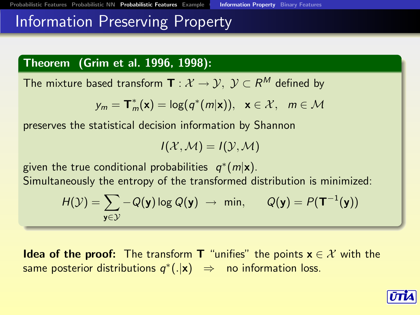### Information Preserving Property

### Theorem (Grim et al. 1996, 1998):

The mixture based transform  $\mathbf{T}:\mathcal{X}\rightarrow\mathcal{Y},\;\mathcal{Y}\subset\mathsf{R}^{\mathsf{M}}$  defined by

$$
y_m = \mathbf{T}_m^*(\mathbf{x}) = \log(q^*(m|\mathbf{x})), \quad \mathbf{x} \in \mathcal{X}, \quad m \in \mathcal{M}
$$

preserves the statistical decision information by Shannon

$$
I(\mathcal{X},\mathcal{M})=I(\mathcal{Y},\mathcal{M})
$$

given the true conditional probabilities  $q^*(m|\mathbf{x})$ .

Simultaneously the entropy of the transformed distribution is minimized:

$$
H(\mathcal{Y}) = \sum_{\mathbf{y} \in \mathcal{Y}} -Q(\mathbf{y}) \log Q(\mathbf{y}) \rightarrow \min, \qquad Q(\mathbf{y}) = P(\mathbf{T}^{-1}(\mathbf{y}))
$$

<span id="page-6-0"></span>**Idea of the proof:** The transform **T** "unifies" the points  $x \in \mathcal{X}$  with the same posterior distributions  $q^*(.|x) \Rightarrow$  no information loss.

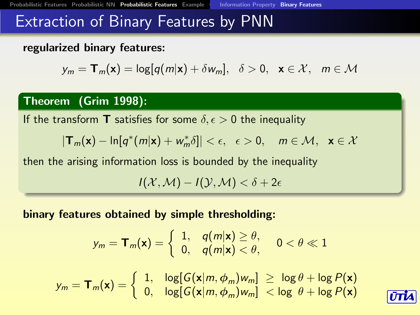### Extraction of Binary Features by PNN

### regularized binary features:

$$
y_m = \mathbf{T}_m(\mathbf{x}) = \log[q(m|\mathbf{x}) + \delta w_m], \quad \delta > 0, \quad \mathbf{x} \in \mathcal{X}, \quad m \in \mathcal{M}
$$

### Theorem (Grim 1998):

If the transform **T** satisfies for some  $\delta, \epsilon > 0$  the inequality

$$
|\mathbf{T}_m(\mathbf{x}) - \ln[q^*(m|\mathbf{x}) + w_m^*\delta]| < \epsilon, \ \epsilon > 0, \ \ m \in \mathcal{M}, \ \mathbf{x} \in \mathcal{X}
$$

then the arising information loss is bounded by the inequality

 $I(X, \mathcal{M}) - I(Y, \mathcal{M}) < \delta + 2\epsilon$ 

binary features obtained by simple thresholding:

$$
y_m = \mathbf{T}_m(\mathbf{x}) = \left\{ \begin{array}{ll} 1, & q(m|\mathbf{x}) \geq \theta, \\ 0, & q(m|\mathbf{x}) < \theta, \end{array} \right. \quad 0 < \theta \ll 1
$$

<span id="page-7-0"></span>
$$
y_m = \mathbf{T}_m(\mathbf{x}) = \begin{cases} 1, & \log[G(\mathbf{x}|m, \phi_m)w_m] \geq \log \theta + \log P(\mathbf{x}) \\ 0, & \log[G(\mathbf{x}|m, \phi_m)w_m] < \log \theta + \log P(\mathbf{x}) \end{cases}
$$

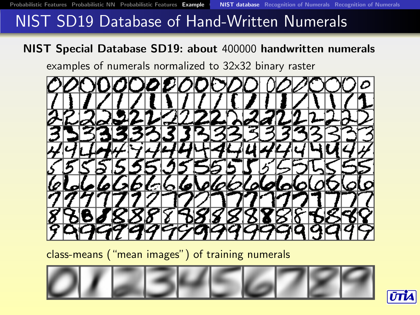# NIST SD19 Database of Hand-Written Numerals

### NIST Special Database SD19: about 400000 handwritten numerals

examples of numerals normalized to 32x32 binary raster



class-means ("mean images") of training numerals

<span id="page-8-0"></span>

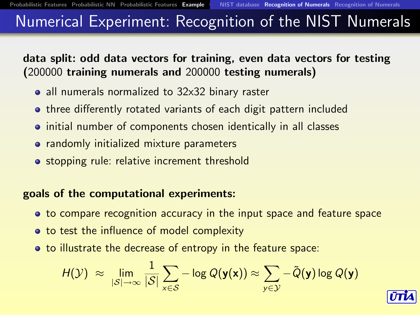# Numerical Experiment: Recognition of the NIST Numerals

data split: odd data vectors for training, even data vectors for testing (200000 training numerals and 200000 testing numerals)

- all numerals normalized to 32x32 binary raster
- **•** three differently rotated variants of each digit pattern included
- initial number of components chosen identically in all classes
- **•** randomly initialized mixture parameters
- **•** stopping rule: relative increment threshold

### goals of the computational experiments:

- to compare recognition accuracy in the input space and feature space
- to test the influence of model complexity
- <span id="page-9-0"></span>to illustrate the decrease of entropy in the feature space:

$$
H(\mathcal{Y}) \; \approx \; \lim_{|\mathcal{S}| \to \infty} \frac{1}{|\mathcal{S}|} \sum_{\mathsf{x} \in \mathcal{S}} -\log Q(\mathsf{y}(\mathsf{x})) \approx \sum_{\mathsf{y} \in \mathcal{Y}} -\tilde{Q}(\mathsf{y}) \log Q(\mathsf{y})
$$

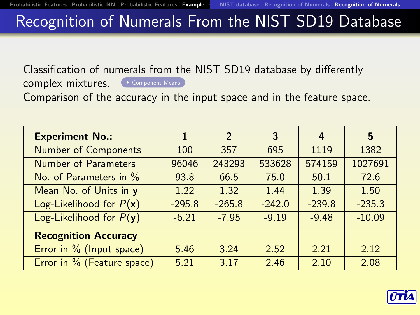# Recognition of Numerals From the NIST SD19 Database

<span id="page-10-1"></span>Classification of numerals from the NIST SD19 database by differently

complex mixtures. C [Component Means](#page-13-0)

Comparison of the accuracy in the input space and in the feature space.

<span id="page-10-0"></span>

| <b>Experiment No.:</b>      | 1        | $\overline{2}$ | 3        | 4        | 5        |
|-----------------------------|----------|----------------|----------|----------|----------|
| <b>Number of Components</b> | 100      | 357            | 695      | 1119     | 1382     |
| <b>Number of Parameters</b> | 96046    | 243293         | 533628   | 574159   | 1027691  |
| No. of Parameters in %      | 93.8     | 66.5           | 75.0     | 50.1     | 72.6     |
| Mean No. of Units in y      | 1.22     | 1.32           | 1.44     | 1.39     | 1.50     |
| Log-Likelihood for $P(x)$   | $-295.8$ | $-265.8$       | $-242.0$ | $-239.8$ | $-235.3$ |
| Log-Likelihood for $P(y)$   | $-6.21$  | $-7.95$        | $-9.19$  | $-9.48$  | $-10.09$ |
| <b>Recognition Accuracy</b> |          |                |          |          |          |
| Error in % (Input space)    | 5.46     | 3.24           | 2.52     | 2.21     | 2.12     |
| Error in % (Feature space)  | 5.21     | 3.17           | 2.46     | 2.10     | 2.08     |

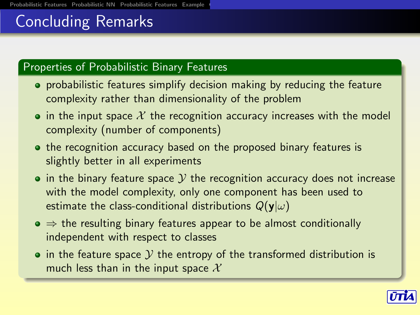# Concluding Remarks

### Properties of Probabilistic Binary Features

- probabilistic features simplify decision making by reducing the feature complexity rather than dimensionality of the problem
- $\bullet$  in the input space X the recognition accuracy increases with the model complexity (number of components)
- o the recognition accuracy based on the proposed binary features is slightly better in all experiments
- $\bullet$  in the binary feature space  $\mathcal Y$  the recognition accuracy does not increase with the model complexity, only one component has been used to estimate the class-conditional distributions  $Q(\mathbf{y}|\omega)$
- $\bullet \Rightarrow$  the resulting binary features appear to be almost conditionally independent with respect to classes
- <span id="page-11-0"></span> $\bullet$  in the feature space  $\mathcal Y$  the entropy of the transformed distribution is much less than in the input space  $\mathcal{X}$

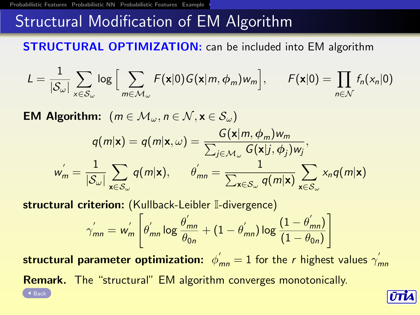# **Structural Modification of EM Algorithm**

<span id="page-12-0"></span>**STRUCTURAL OPTIMIZATION:** can be included into EM algorithm

$$
L = \frac{1}{|S_{\omega}|} \sum_{x \in S_{\omega}} \log \Big[ \sum_{m \in \mathcal{M}_{\omega}} F(x|0) G(x|m, \phi_m) w_m \Big], \qquad F(x|0) = \prod_{n \in \mathcal{N}} f_n(x_n|0)
$$

**EM Algorithm:**  $(m \in \mathcal{M}_{\omega}, n \in \mathcal{N}, \mathbf{x} \in \mathcal{S}_{\omega})$  $q(m|\textbf{x}) = q(m|\textbf{x}, \omega) = \frac{G(\textbf{x}|m, \phi_m)w_m}{\sum_{i \in \mathcal{M}_m} G(\textbf{x}|j, \phi_i)}$  $\frac{\sum_{j\in\mathcal{M}_{\omega}}G(\mathbf{x}|j,\phi_j)w_j}{G(\mathbf{x}|j,\phi_j)w_j},$  $w'_m = \frac{1}{18}$  $|\mathcal{S}_{\omega}|$  $\sum$  $\mathsf{x} {\in} \mathcal{S}_\omega$  $q(m|\mathbf{x}), \quad \theta'_{mn} = \frac{1}{\nabla^2}$  $\sum_{\mathbf{x} \in \mathcal{S}_{\omega}} q(m|\mathbf{x})$  $\sum$  $\mathsf{x} {\in} \mathcal{S}_\omega$  $x_nq(m|\mathbf{x})$ 

structural criterion: (Kullback-Leibler I-divergence)

$$
\gamma_{mn}^{'} = w_m^{'} \left[ \theta_{mn}^{'} \log \frac{\theta_{mn}^{'}}{\theta_{0n}} + (1 - \theta_{mn}^{'}) \log \frac{(1 - \theta_{mn}^{'})}{(1 - \theta_{0n})} \right]
$$

 $\mathsf{structural}\ \mathsf{parameter}\ \mathsf{optimization}\colon\ \phi_{mn}^{'}=1$  for the  $r$  highest values  $\gamma_{mn}^{'}$ Remark. The "structural" EM algorithm converges monotonically. [Back](#page-4-1)

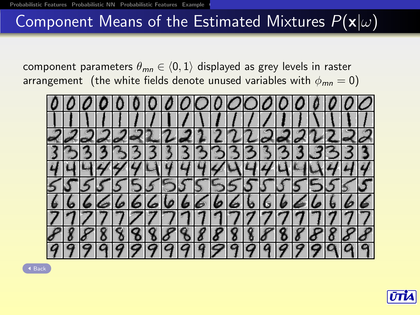# Component Means of the Estimated Mixtures  $P(x|\omega)$

<span id="page-13-0"></span>component parameters  $\theta_{mn} \in \langle 0, 1 \rangle$  displayed as grey levels in raster arrangement (the white fields denote unused variables with  $\phi_{mn} = 0$ )



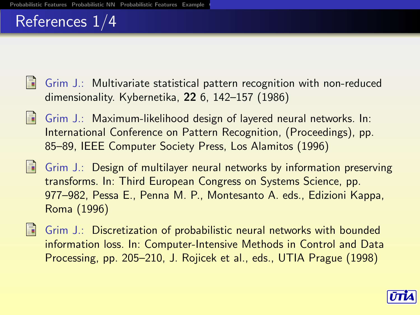### References 1/4

- Grim J.: Multivariate statistical pattern recognition with non-reduced dimensionality. Kybernetika, 22 6, 142–157 (1986)
- Grim J.: Maximum-likelihood design of layered neural networks. In: International Conference on Pattern Recognition, (Proceedings), pp. 85–89, IEEE Computer Society Press, Los Alamitos (1996)
- $\Box$  Grim J.: Design of multilayer neural networks by information preserving transforms. In: Third European Congress on Systems Science, pp. 977–982, Pessa E., Penna M. P., Montesanto A. eds., Edizioni Kappa, Roma (1996)
- Grim J.: Discretization of probabilistic neural networks with bounded information loss. In: Computer-Intensive Methods in Control and Data Processing, pp. 205–210, J. Rojicek et al., eds., UTIA Prague (1998)

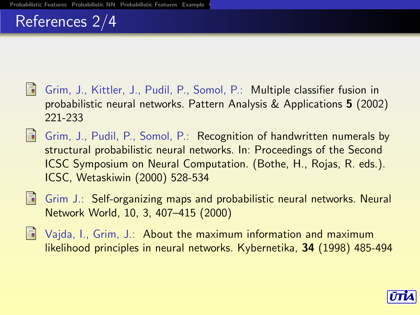# References 2/4

- Grim, J., Kittler, J., Pudil, P., Somol, P.: Multiple classifier fusion in probabilistic neural networks. Pattern Analysis & Applications 5 (2002) 221-233
- Grim, J., Pudil, P., Somol, P.: Recognition of handwritten numerals by structural probabilistic neural networks. In: Proceedings of the Second ICSC Symposium on Neural Computation. (Bothe, H., Rojas, R. eds.). ICSC, Wetaskiwin (2000) 528-534
- 

**F** Grim J.: Self-organizing maps and probabilistic neural networks. Neural Network World, 10, 3, 407–415 (2000)

**Najda, I., Grim, J.: About the maximum information and maximum** likelihood principles in neural networks. Kybernetika, 34 (1998) 485-494

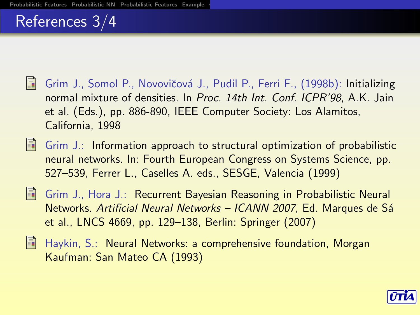### References 3/4

- Grim J., Somol P., Novovičová J., Pudil P., Ferri F., (1998b): Initializing normal mixture of densities. In Proc. 14th Int. Conf. ICPR'98, A.K. Jain et al. (Eds.), pp. 886-890, IEEE Computer Society: Los Alamitos, California, 1998
- $\blacksquare$  Grim J.: Information approach to structural optimization of probabilistic neural networks. In: Fourth European Congress on Systems Science, pp. 527–539, Ferrer L., Caselles A. eds., SESGE, Valencia (1999)
- Grim J., Hora J.: Recurrent Bayesian Reasoning in Probabilistic Neural Networks. Artificial Neural Networks - ICANN 2007, Ed. Marques de Sá et al., LNCS 4669, pp. 129–138, Berlin: Springer (2007)
- Haykin, S.: Neural Networks: a comprehensive foundation, Morgan Kaufman: San Mateo CA (1993)